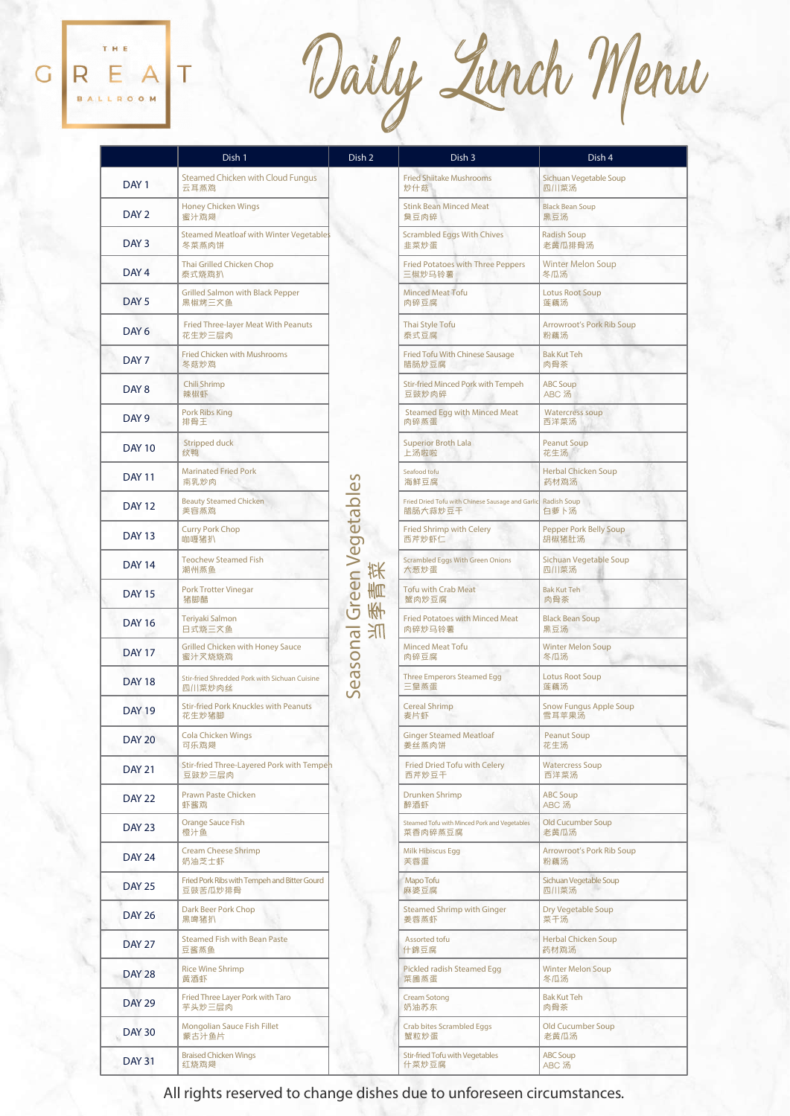## REA  $\overline{G}$ T  $\overline{R}$

Daily Lunch Menu

|                  | Dish 1                                                  | Dish 2                               | Dish 3                                                      | Dish 4                                  |
|------------------|---------------------------------------------------------|--------------------------------------|-------------------------------------------------------------|-----------------------------------------|
| DAY <sub>1</sub> | Steamed Chicken with Cloud Fungus<br>云耳蒸鸡               | Green Vegetables<br>状<br>青<br>需<br>爪 | <b>Fried Shiitake Mushrooms</b><br>炒什菇                      | Sichuan Vegetable Soup<br>四川菜汤          |
| DAY <sub>2</sub> | <b>Honey Chicken Wings</b><br>蜜汁鸡翅                      |                                      | <b>Stink Bean Minced Meat</b><br>臭豆肉碎                       | <b>Black Bean Soup</b><br>黑豆汤           |
| DAY <sub>3</sub> | Steamed Meatloaf with Winter Vegetables<br>冬菜蒸肉饼        |                                      | <b>Scrambled Eggs With Chives</b><br>韭菜炒蛋                   | <b>Radish Soup</b><br>老黄瓜排骨汤            |
| DAY <sub>4</sub> | Thai Grilled Chicken Chop<br>泰式烧鸡扒                      |                                      | <b>Fried Potatoes with Three Peppers</b><br>三椒炒马铃薯          | <b>Winter Melon Soup</b><br>冬瓜汤         |
| DAY <sub>5</sub> | <b>Grilled Salmon with Black Pepper</b><br>黑椒烤三文鱼       |                                      | <b>Minced Meat Tofu</b><br>肉碎豆腐                             | <b>Lotus Root Soup</b><br>莲藕汤           |
| DAY <sub>6</sub> | Fried Three-layer Meat With Peanuts<br>花生炒三层肉           |                                      | Thai Style Tofu<br>泰式豆腐                                     | <b>Arrowroot's Pork Rib Soup</b><br>粉藕汤 |
| DAY <sub>7</sub> | Fried Chicken with Mushrooms<br>冬菇炒鸡                    |                                      | Fried Tofu With Chinese Sausage<br>腊肠炒豆腐                    | <b>Bak Kut Teh</b><br>肉骨茶               |
| DAY 8            | Chili Shrimp<br>辣椒虾                                     |                                      | Stir-fried Minced Pork with Tempeh<br>豆豉炒肉碎                 | <b>ABC Soup</b><br>ABC 汤                |
| DAY <sub>9</sub> | Pork Ribs King<br>排骨王                                   |                                      | <b>Steamed Egg with Minced Meat</b><br>肉碎蒸蛋                 | <b>Watercress soup</b><br>西洋菜汤          |
| <b>DAY 10</b>    | Stripped duck<br>纹鸭                                     |                                      | <b>Superior Broth Lala</b><br>上汤啦啦                          | <b>Peanut Soup</b><br>花生汤               |
| <b>DAY 11</b>    | <b>Marinated Fried Pork</b><br>南乳炒肉                     |                                      | Seafood tofu<br>海鲜豆腐                                        | <b>Herbal Chicken Soup</b><br>药材鸡汤      |
| <b>DAY 12</b>    | <b>Beauty Steamed Chicken</b><br>美容蒸鸡                   |                                      | Fried Dried Tofu with Chinese Sausage and Garlic<br>腊肠大蒜炒豆干 | Radish Soup<br>白萝卜汤                     |
| <b>DAY 13</b>    | <b>Curry Pork Chop</b><br>咖喱猪扒                          |                                      | <b>Fried Shrimp with Celery</b><br>西芹炒虾仁                    | <b>Pepper Pork Belly Soup</b><br>胡椒猪肚汤  |
| <b>DAY 14</b>    | <b>Teochew Steamed Fish</b><br>潮州蒸鱼                     |                                      | <b>Scrambled Eggs With Green Onions</b><br>大葱炒蛋             | Sichuan Vegetable Soup<br>四川菜汤          |
| <b>DAY 15</b>    | Pork Trotter Vinegar<br>猪脚醋                             |                                      | <b>Tofu with Crab Meat</b><br>蟹肉炒豆腐                         | <b>Bak Kut Teh</b><br>肉骨茶               |
| <b>DAY 16</b>    | Teriyaki Salmon<br>日式烧三文鱼                               |                                      | <b>Fried Potatoes with Minced Meat</b><br>肉碎炒马铃薯            | <b>Black Bean Soup</b><br>黑豆汤           |
| <b>DAY 17</b>    | <b>Grilled Chicken with Honey Sauce</b><br>蜜汁叉烧烧鸡       | Seasonal                             | <b>Minced Meat Tofu</b><br>肉碎豆腐                             | <b>Winter Melon Soup</b><br>冬瓜汤         |
| <b>DAY 18</b>    | Stir-fried Shredded Pork with Sichuan Cuisine<br>四川菜炒肉丝 |                                      | Three Emperors Steamed Egg<br>三皇蒸蛋                          | <b>Lotus Root Soup</b><br>莲藕汤           |
| <b>DAY 19</b>    | <b>Stir-fried Pork Knuckles with Peanuts</b><br>花生炒猪脚   |                                      | <b>Cereal Shrimp</b><br>麦片虾                                 | <b>Snow Fungus Apple Soup</b><br>雪耳苹果汤  |
| <b>DAY 20</b>    | <b>Cola Chicken Wings</b><br>可乐鸡翅                       |                                      | <b>Ginger Steamed Meatloaf</b><br>姜丝蒸肉饼                     | <b>Peanut Soup</b><br>花生汤               |
| <b>DAY 21</b>    | Stir-fried Three-Layered Pork with Tempeh<br>豆豉炒三层肉     |                                      | Fried Dried Tofu with Celery<br>西芹炒豆干                       | <b>Watercress Soup</b><br>西洋菜汤          |
| <b>DAY 22</b>    | Prawn Paste Chicken<br>虾酱鸡                              |                                      | Drunken Shrimp<br>醉酒虾                                       | <b>ABC Soup</b><br>ABC 汤                |
| <b>DAY 23</b>    | <b>Orange Sauce Fish</b><br>橙汁鱼                         |                                      | Steamed Tofu with Minced Pork and Vegetables<br>菜香肉碎蒸豆腐     | Old Cucumber Soup<br>老黄瓜汤               |
| <b>DAY 24</b>    | <b>Cream Cheese Shrimp</b><br>奶油芝士虾                     |                                      | Milk Hibiscus Egg<br>芙蓉蛋                                    | <b>Arrowroot's Pork Rib Soup</b><br>粉藕汤 |
| <b>DAY 25</b>    | Fried Pork Ribs with Tempeh and Bitter Gourd<br>豆豉苦瓜炒排骨 |                                      | Mapo Tofu<br>麻婆豆腐                                           | Sichuan Vegetable Soup<br>四川菜汤          |
| <b>DAY 26</b>    | Dark Beer Pork Chop<br>黑啤猪扒                             |                                      | <b>Steamed Shrimp with Ginger</b><br>姜蓉蒸虾                   | Dry Vegetable Soup<br>菜干汤               |
| <b>DAY 27</b>    | <b>Steamed Fish with Bean Paste</b><br>豆酱蒸鱼             |                                      | Assorted tofu<br>什錦豆腐                                       | Herbal Chicken Soup<br>药材鸡汤             |
| DAY 28           | <b>Rice Wine Shrimp</b><br>黄酒虾                          |                                      | Pickled radish Steamed Egg<br>菜圃蒸蛋                          | <b>Winter Melon Soup</b><br>冬瓜汤         |
| <b>DAY 29</b>    | Fried Three Layer Pork with Taro<br>芋头炒三层肉              |                                      | <b>Cream Sotong</b><br>奶油苏东                                 | <b>Bak Kut Teh</b><br>肉骨茶               |
| <b>DAY 30</b>    | Mongolian Sauce Fish Fillet<br>蒙古汁鱼片                    |                                      | <b>Crab bites Scrambled Eggs</b><br>蟹粒炒蛋                    | Old Cucumber Soup<br>老黄瓜汤               |
| <b>DAY 31</b>    | <b>Braised Chicken Wings</b><br>红烧鸡翅                    |                                      | <b>Stir-fried Tofu with Vegetables</b><br>什菜炒豆腐             | <b>ABC Soup</b><br>ABC 汤                |

All rights reserved to change dishes due to unforeseen circumstances.